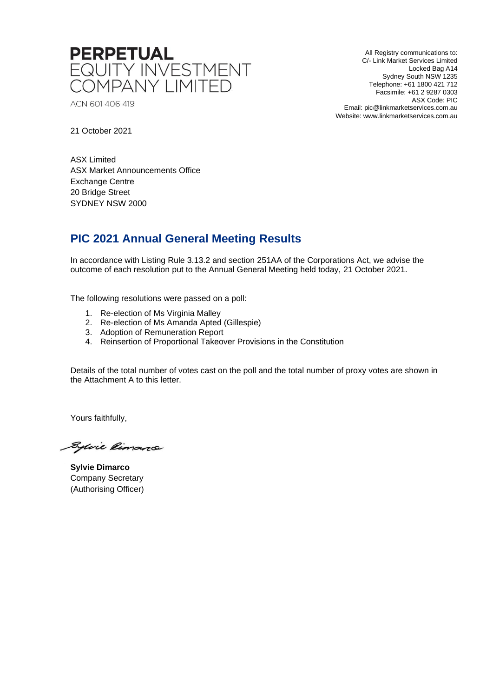

ACN 601 406 419

All Registry communications to: C/- Link Market Services Limited Locked Bag A14 Sydney South NSW 1235 Telephone: +61 1800 421 712 Facsimile: +61 2 9287 0303 ASX Code: PIC Email: pic@linkmarketservices.com.au Website: www.linkmarketservices.com.au

21 October 2021

ASX Limited ASX Market Announcements Office Exchange Centre 20 Bridge Street SYDNEY NSW 2000

## **PIC 2021 Annual General Meeting Results**

In accordance with Listing Rule 3.13.2 and section 251AA of the Corporations Act, we advise the outcome of each resolution put to the Annual General Meeting held today, 21 October 2021.

The following resolutions were passed on a poll:

- 1. Re-election of Ms Virginia Malley
- 2. Re-election of Ms Amanda Apted (Gillespie)
- 3. Adoption of Remuneration Report
- 4. Reinsertion of Proportional Takeover Provisions in the Constitution

Details of the total number of votes cast on the poll and the total number of proxy votes are shown in the Attachment A to this letter.

Yours faithfully,

Sylvie Rimano

**Sylvie Dimarco** Company Secretary (Authorising Officer)